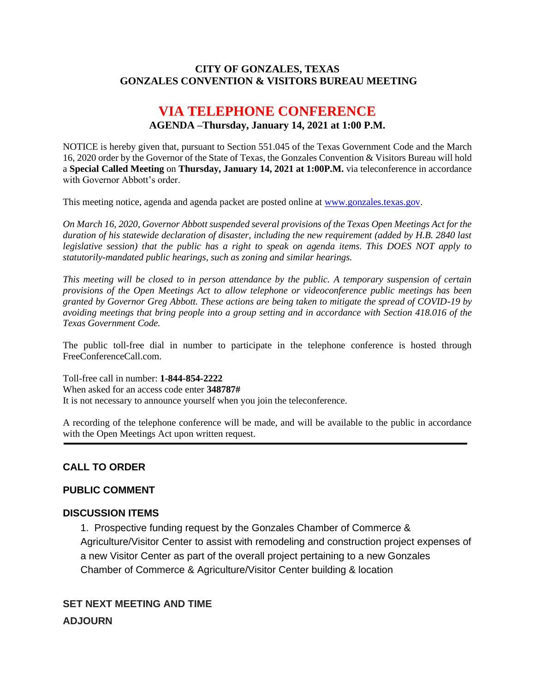### **CITY OF GONZALES, TEXAS GONZALES CONVENTION & VISITORS BUREAU MEETING**

## **VIA TELEPHONE CONFERENCE AGENDA –Thursday, January 14, 2021 at 1:00 P.M.**

NOTICE is hereby given that, pursuant to Section 551.045 of the Texas Government Code and the March 16, 2020 order by the Governor of the State of Texas, the Gonzales Convention & Visitors Bureau will hold a **Special Called Meeting** on **Thursday, January 14, 2021 at 1:00P.M.** via teleconference in accordance with Governor Abbott's order.

This meeting notice, agenda and agenda packet are posted online at [www.gonzales.texas.gov.](http://www.gonzales.texas.gov/)

*On March 16, 2020, Governor Abbott suspended several provisions of the Texas Open Meetings Act for the duration of his statewide declaration of disaster, including the new requirement (added by H.B. 2840 last legislative session) that the public has a right to speak on agenda items. This DOES NOT apply to statutorily-mandated public hearings, such as zoning and similar hearings.* 

*This meeting will be closed to in person attendance by the public. A temporary suspension of certain provisions of the Open Meetings Act to allow telephone or videoconference public meetings has been granted by Governor Greg Abbott. These actions are being taken to mitigate the spread of COVID-19 by avoiding meetings that bring people into a group setting and in accordance with Section 418.016 of the Texas Government Code.*

The public toll-free dial in number to participate in the telephone conference is hosted through FreeConferenceCall.com.

Toll-free call in number: **1-844-854-2222**

When asked for an access code enter **348787#**

It is not necessary to announce yourself when you join the teleconference.

A recording of the telephone conference will be made, and will be available to the public in accordance with the Open Meetings Act upon written request.

#### **CALL TO ORDER**

#### **PUBLIC COMMENT**

#### **DISCUSSION ITEMS**

1. Prospective funding request by the Gonzales Chamber of Commerce & Agriculture/Visitor Center to assist with remodeling and construction project expenses of a new Visitor Center as part of the overall project pertaining to a new Gonzales Chamber of Commerce & Agriculture/Visitor Center building & location

# **SET NEXT MEETING AND TIME ADJOURN**